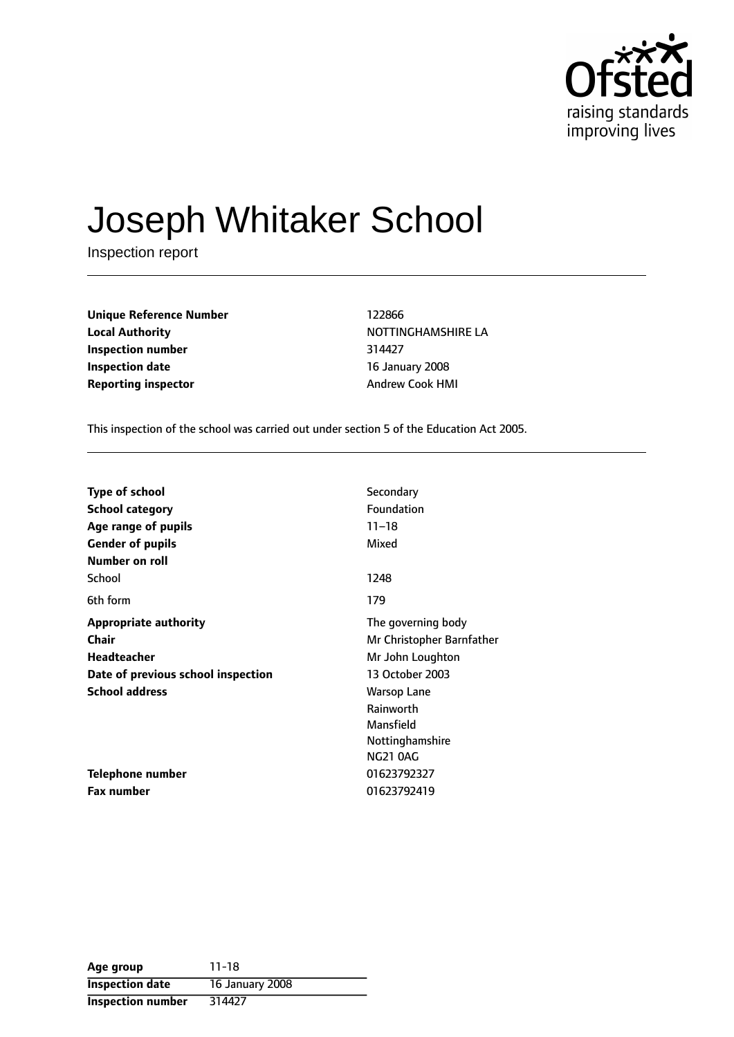

# Joseph Whitaker School

Inspection report

| <b>Unique Reference Number</b> | 122866                 |  |  |
|--------------------------------|------------------------|--|--|
| <b>Local Authority</b>         | <b>NOTTINGHAMSHI</b>   |  |  |
| Inspection number              | 314427                 |  |  |
| <b>Inspection date</b>         | 16 January 2008        |  |  |
| <b>Reporting inspector</b>     | <b>Andrew Cook HMI</b> |  |  |

**Unique Reference Number** 122866 **Local Authority** NOTTINGHAMSHIRE LA **Inspection number** 314427 **16 January 2008** 

This inspection of the school was carried out under section 5 of the Education Act 2005.

| <b>Type of school</b>              | Secondary                 |
|------------------------------------|---------------------------|
| <b>School category</b>             | Foundation                |
| Age range of pupils                | $11 - 18$                 |
| <b>Gender of pupils</b>            | Mixed                     |
| Number on roll                     |                           |
| School                             | 1248                      |
| 6th form                           | 179                       |
| <b>Appropriate authority</b>       | The governing body        |
| Chair                              | Mr Christopher Barnfather |
| <b>Headteacher</b>                 | Mr John Loughton          |
| Date of previous school inspection | 13 October 2003           |
| <b>School address</b>              | <b>Warsop Lane</b>        |
|                                    | Rainworth                 |
|                                    | Mansfield                 |
|                                    | Nottinghamshire           |
|                                    | <b>NG21 0AG</b>           |
| Telephone number                   | 01623792327               |
| <b>Fax number</b>                  | 01623792419               |

| Age group                | 11-18           |
|--------------------------|-----------------|
| <b>Inspection date</b>   | 16 January 2008 |
| <b>Inspection number</b> | 314427          |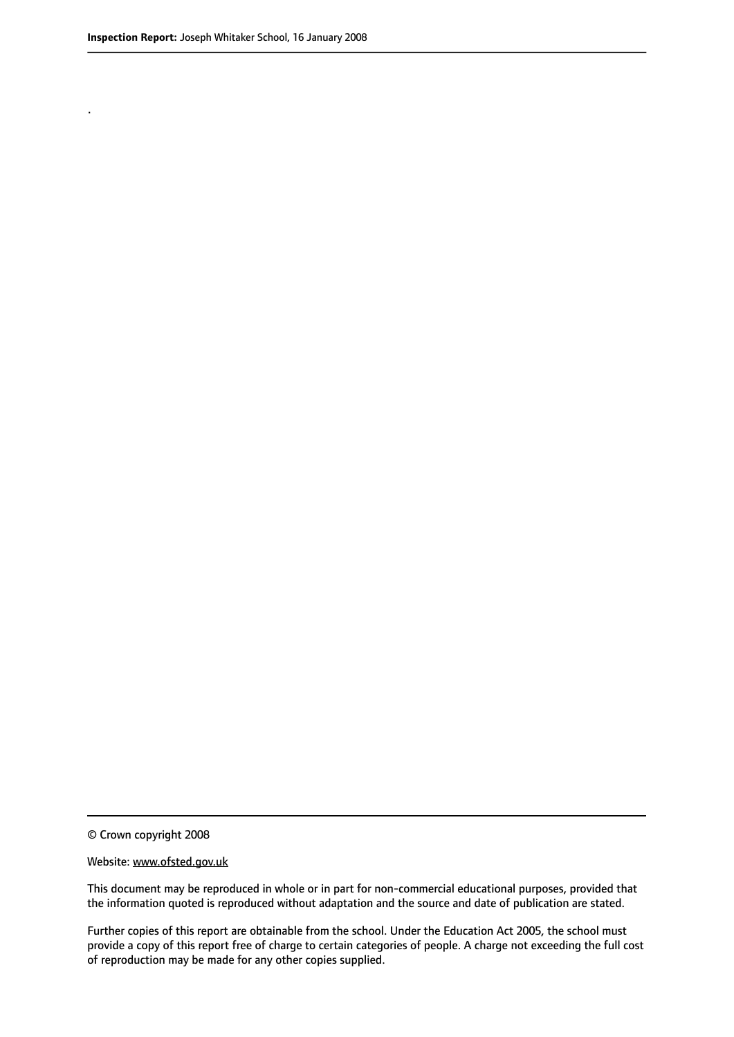.

© Crown copyright 2008

#### Website: www.ofsted.gov.uk

This document may be reproduced in whole or in part for non-commercial educational purposes, provided that the information quoted is reproduced without adaptation and the source and date of publication are stated.

Further copies of this report are obtainable from the school. Under the Education Act 2005, the school must provide a copy of this report free of charge to certain categories of people. A charge not exceeding the full cost of reproduction may be made for any other copies supplied.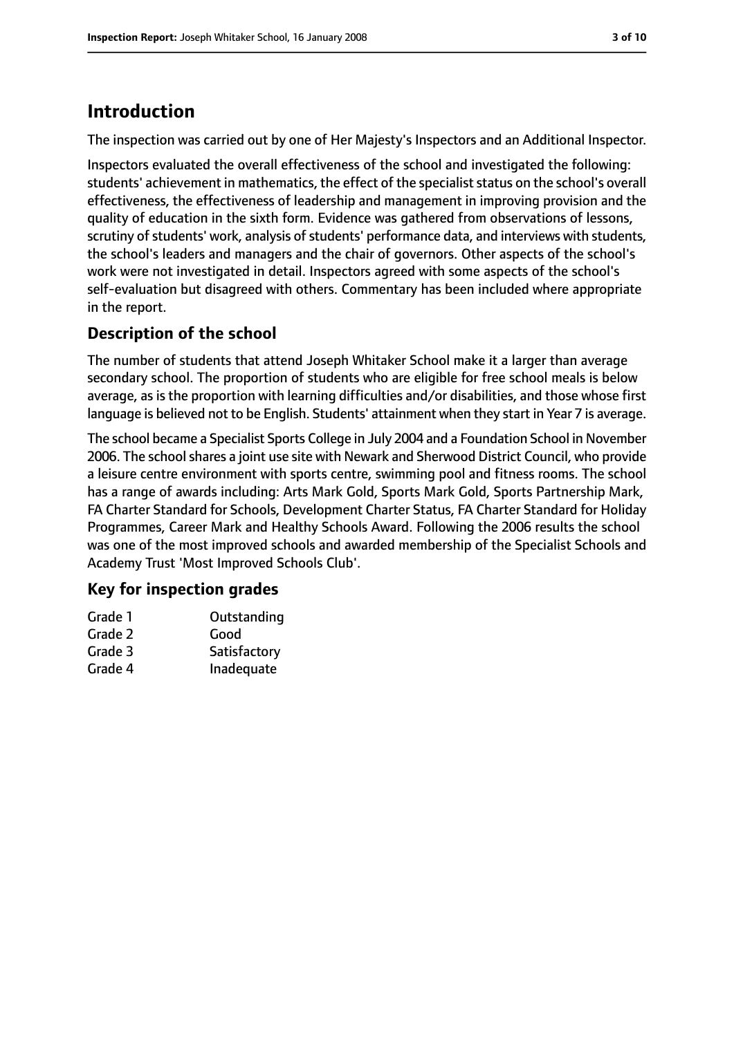# **Introduction**

The inspection was carried out by one of Her Majesty's Inspectors and an Additional Inspector.

Inspectors evaluated the overall effectiveness of the school and investigated the following: students' achievement in mathematics, the effect of the specialiststatus on the school's overall effectiveness, the effectiveness of leadership and management in improving provision and the quality of education in the sixth form. Evidence was gathered from observations of lessons, scrutiny of students' work, analysis of students' performance data, and interviews with students, the school's leaders and managers and the chair of governors. Other aspects of the school's work were not investigated in detail. Inspectors agreed with some aspects of the school's self-evaluation but disagreed with others. Commentary has been included where appropriate in the report.

## **Description of the school**

The number of students that attend Joseph Whitaker School make it a larger than average secondary school. The proportion of students who are eligible for free school meals is below average, as is the proportion with learning difficulties and/or disabilities, and those whose first language is believed not to be English. Students' attainment when they start in Year 7 is average.

The school became a Specialist Sports College in July 2004 and a Foundation School in November 2006. The school shares a joint use site with Newark and Sherwood District Council, who provide a leisure centre environment with sports centre, swimming pool and fitness rooms. The school has a range of awards including: Arts Mark Gold, Sports Mark Gold, Sports Partnership Mark, FA Charter Standard for Schools, Development Charter Status, FA Charter Standard for Holiday Programmes, Career Mark and Healthy Schools Award. Following the 2006 results the school was one of the most improved schools and awarded membership of the Specialist Schools and Academy Trust 'Most Improved Schools Club'.

## **Key for inspection grades**

| Outstanding  |
|--------------|
| Good         |
| Satisfactory |
| Inadequate   |
|              |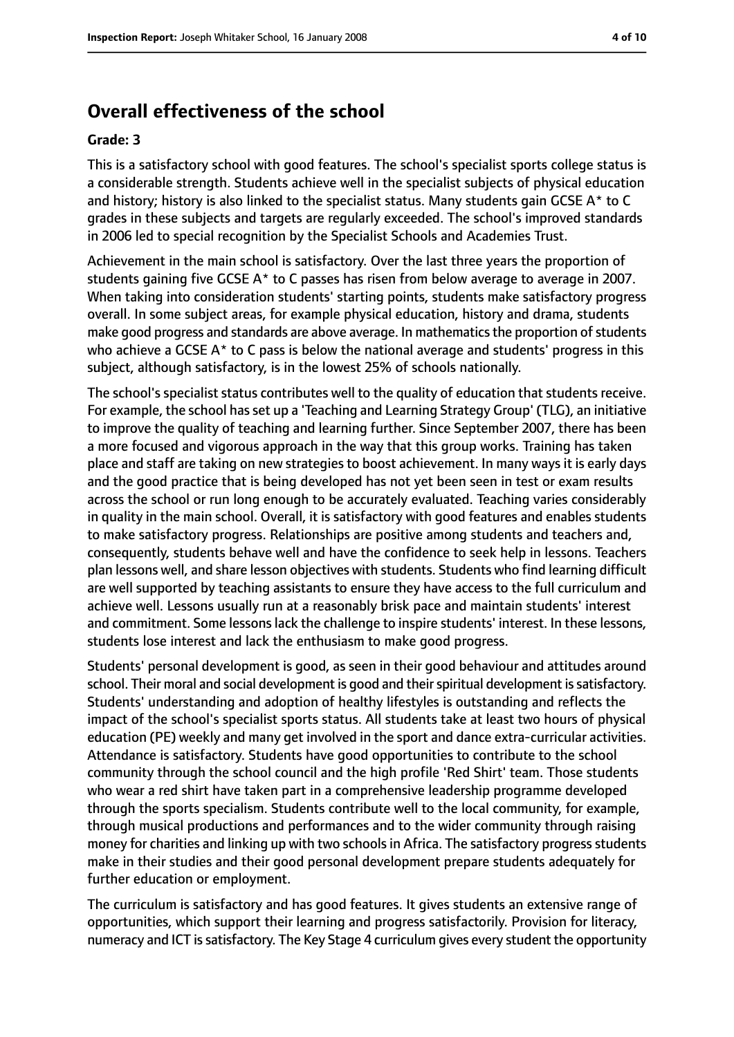# **Overall effectiveness of the school**

#### **Grade: 3**

This is a satisfactory school with good features. The school's specialist sports college status is a considerable strength. Students achieve well in the specialist subjects of physical education and history; history is also linked to the specialist status. Many students gain GCSE A\* to C grades in these subjects and targets are regularly exceeded. The school's improved standards in 2006 led to special recognition by the Specialist Schools and Academies Trust.

Achievement in the main school is satisfactory. Over the last three years the proportion of students gaining five GCSE A\* to C passes has risen from below average to average in 2007. When taking into consideration students' starting points, students make satisfactory progress overall. In some subject areas, for example physical education, history and drama, students make good progress and standards are above average. In mathematics the proportion of students who achieve a GCSE A\* to C pass is below the national average and students' progress in this subject, although satisfactory, is in the lowest 25% of schools nationally.

The school's specialist status contributes well to the quality of education that students receive. For example, the school hasset up a 'Teaching and Learning Strategy Group' (TLG), an initiative to improve the quality of teaching and learning further. Since September 2007, there has been a more focused and vigorous approach in the way that this group works. Training has taken place and staff are taking on new strategies to boost achievement. In many ways it is early days and the good practice that is being developed has not yet been seen in test or exam results across the school or run long enough to be accurately evaluated. Teaching varies considerably in quality in the main school. Overall, it is satisfactory with good features and enables students to make satisfactory progress. Relationships are positive among students and teachers and, consequently, students behave well and have the confidence to seek help in lessons. Teachers plan lessons well, and share lesson objectives with students. Students who find learning difficult are well supported by teaching assistants to ensure they have access to the full curriculum and achieve well. Lessons usually run at a reasonably brisk pace and maintain students' interest and commitment. Some lessons lack the challenge to inspire students' interest. In these lessons, students lose interest and lack the enthusiasm to make good progress.

Students' personal development is good, as seen in their good behaviour and attitudes around school. Their moral and social development is good and their spiritual development is satisfactory. Students' understanding and adoption of healthy lifestyles is outstanding and reflects the impact of the school's specialist sports status. All students take at least two hours of physical education (PE) weekly and many get involved in the sport and dance extra-curricular activities. Attendance is satisfactory. Students have good opportunities to contribute to the school community through the school council and the high profile 'Red Shirt' team. Those students who wear a red shirt have taken part in a comprehensive leadership programme developed through the sports specialism. Students contribute well to the local community, for example, through musical productions and performances and to the wider community through raising money for charities and linking up with two schools in Africa. The satisfactory progress students make in their studies and their good personal development prepare students adequately for further education or employment.

The curriculum is satisfactory and has good features. It gives students an extensive range of opportunities, which support their learning and progress satisfactorily. Provision for literacy, numeracy and ICT is satisfactory. The Key Stage 4 curriculum gives every student the opportunity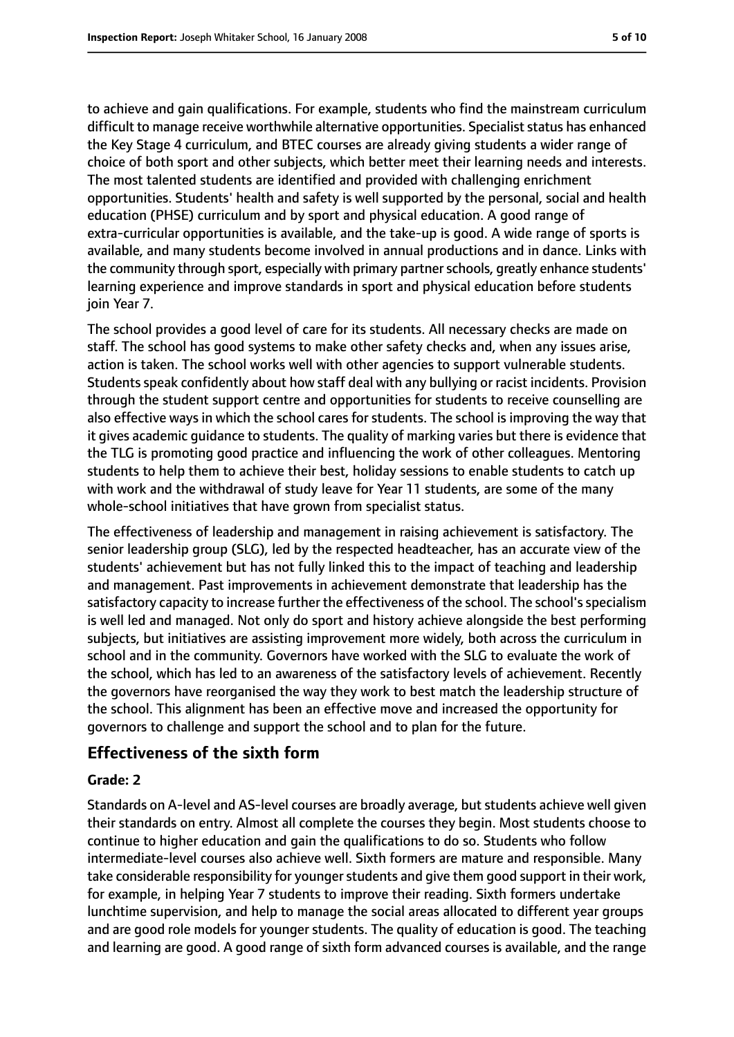to achieve and gain qualifications. For example, students who find the mainstream curriculum difficult to manage receive worthwhile alternative opportunities. Specialist status has enhanced the Key Stage 4 curriculum, and BTEC courses are already giving students a wider range of choice of both sport and other subjects, which better meet their learning needs and interests. The most talented students are identified and provided with challenging enrichment opportunities. Students' health and safety is well supported by the personal, social and health education (PHSE) curriculum and by sport and physical education. A good range of extra-curricular opportunities is available, and the take-up is good. A wide range of sports is available, and many students become involved in annual productions and in dance. Links with the community through sport, especially with primary partner schools, greatly enhance students' learning experience and improve standards in sport and physical education before students join Year 7.

The school provides a good level of care for its students. All necessary checks are made on staff. The school has good systems to make other safety checks and, when any issues arise, action is taken. The school works well with other agencies to support vulnerable students. Students speak confidently about how staff deal with any bullying or racist incidents. Provision through the student support centre and opportunities for students to receive counselling are also effective ways in which the school cares for students. The school is improving the way that it gives academic guidance to students. The quality of marking varies but there is evidence that the TLG is promoting good practice and influencing the work of other colleagues. Mentoring students to help them to achieve their best, holiday sessions to enable students to catch up with work and the withdrawal of study leave for Year 11 students, are some of the many whole-school initiatives that have grown from specialist status.

The effectiveness of leadership and management in raising achievement is satisfactory. The senior leadership group (SLG), led by the respected headteacher, has an accurate view of the students' achievement but has not fully linked this to the impact of teaching and leadership and management. Past improvements in achievement demonstrate that leadership has the satisfactory capacity to increase further the effectiveness of the school. The school's specialism is well led and managed. Not only do sport and history achieve alongside the best performing subjects, but initiatives are assisting improvement more widely, both across the curriculum in school and in the community. Governors have worked with the SLG to evaluate the work of the school, which has led to an awareness of the satisfactory levels of achievement. Recently the governors have reorganised the way they work to best match the leadership structure of the school. This alignment has been an effective move and increased the opportunity for governors to challenge and support the school and to plan for the future.

## **Effectiveness of the sixth form**

### **Grade: 2**

Standards on A-level and AS-level courses are broadly average, but students achieve well given their standards on entry. Almost all complete the courses they begin. Most students choose to continue to higher education and gain the qualifications to do so. Students who follow intermediate-level courses also achieve well. Sixth formers are mature and responsible. Many take considerable responsibility for younger students and give them good support in their work, for example, in helping Year 7 students to improve their reading. Sixth formers undertake lunchtime supervision, and help to manage the social areas allocated to different year groups and are good role models for younger students. The quality of education is good. The teaching and learning are good. A good range of sixth form advanced courses is available, and the range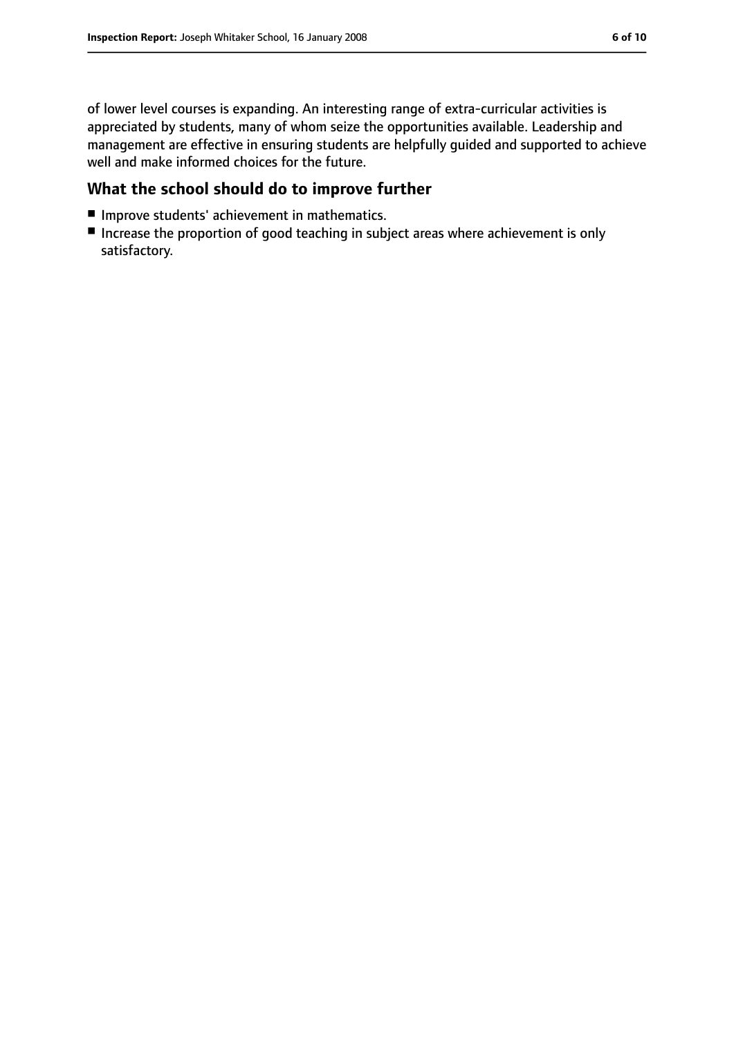of lower level courses is expanding. An interesting range of extra-curricular activities is appreciated by students, many of whom seize the opportunities available. Leadership and management are effective in ensuring students are helpfully guided and supported to achieve well and make informed choices for the future.

## **What the school should do to improve further**

- Improve students' achievement in mathematics.
- Increase the proportion of good teaching in subject areas where achievement is only satisfactory.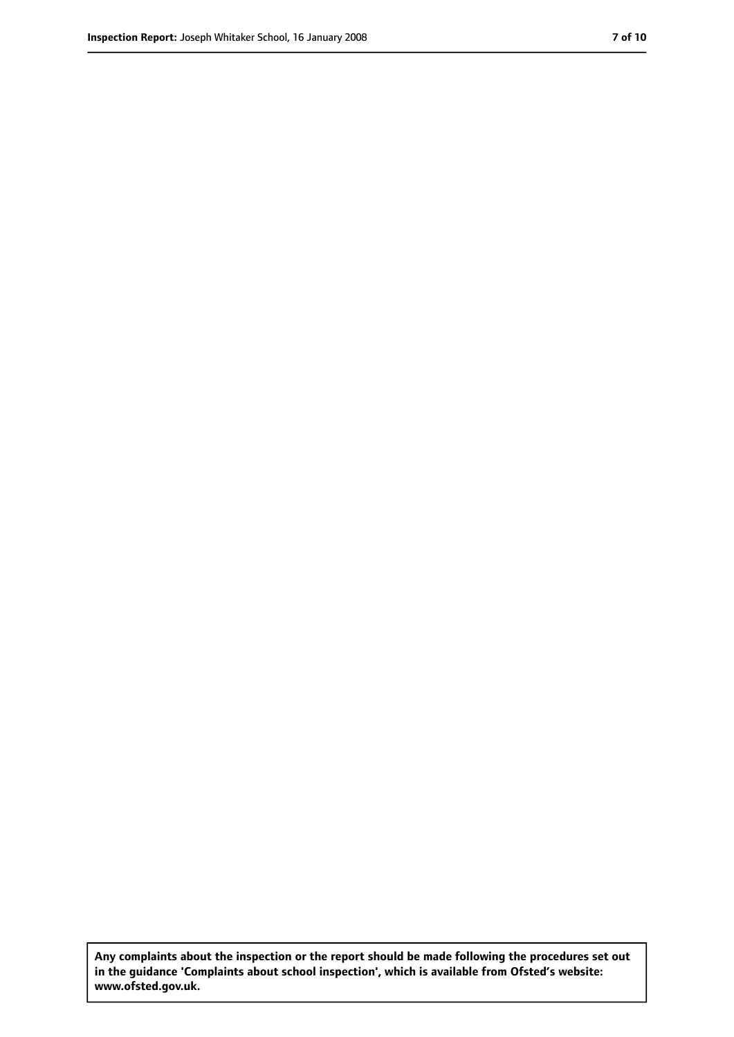**Any complaints about the inspection or the report should be made following the procedures set out in the guidance 'Complaints about school inspection', which is available from Ofsted's website: www.ofsted.gov.uk.**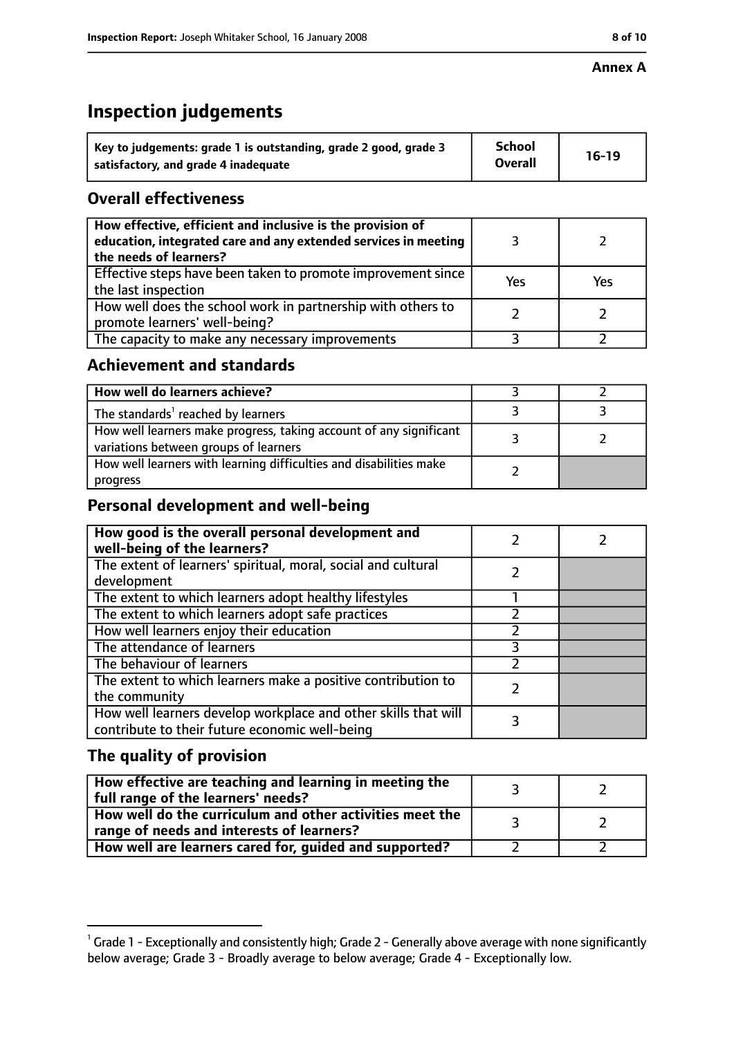#### **Annex A**

# **Inspection judgements**

| Key to judgements: grade 1 is outstanding, grade 2 good, grade 3 | <b>School</b>  | $16-19$ |
|------------------------------------------------------------------|----------------|---------|
| satisfactory, and grade 4 inadequate                             | <b>Overall</b> |         |

## **Overall effectiveness**

| How effective, efficient and inclusive is the provision of<br>education, integrated care and any extended services in meeting<br>the needs of learners? |     |     |
|---------------------------------------------------------------------------------------------------------------------------------------------------------|-----|-----|
| Effective steps have been taken to promote improvement since<br>the last inspection                                                                     | Yes | Yes |
| How well does the school work in partnership with others to<br>promote learners' well-being?                                                            |     |     |
| The capacity to make any necessary improvements                                                                                                         |     |     |

## **Achievement and standards**

| How well do learners achieve?                                                                               |  |
|-------------------------------------------------------------------------------------------------------------|--|
| The standards <sup>1</sup> reached by learners                                                              |  |
| How well learners make progress, taking account of any significant<br>variations between groups of learners |  |
| How well learners with learning difficulties and disabilities make<br>progress                              |  |

## **Personal development and well-being**

| How good is the overall personal development and<br>well-being of the learners?                                  |  |
|------------------------------------------------------------------------------------------------------------------|--|
| The extent of learners' spiritual, moral, social and cultural<br>development                                     |  |
| The extent to which learners adopt healthy lifestyles                                                            |  |
| The extent to which learners adopt safe practices                                                                |  |
| How well learners enjoy their education                                                                          |  |
| The attendance of learners                                                                                       |  |
| The behaviour of learners                                                                                        |  |
| The extent to which learners make a positive contribution to<br>the community                                    |  |
| How well learners develop workplace and other skills that will<br>contribute to their future economic well-being |  |

## **The quality of provision**

| How effective are teaching and learning in meeting the<br>full range of the learners' needs?          |  |
|-------------------------------------------------------------------------------------------------------|--|
| How well do the curriculum and other activities meet the<br>range of needs and interests of learners? |  |
| How well are learners cared for, guided and supported?                                                |  |

 $^1$  Grade 1 - Exceptionally and consistently high; Grade 2 - Generally above average with none significantly below average; Grade 3 - Broadly average to below average; Grade 4 - Exceptionally low.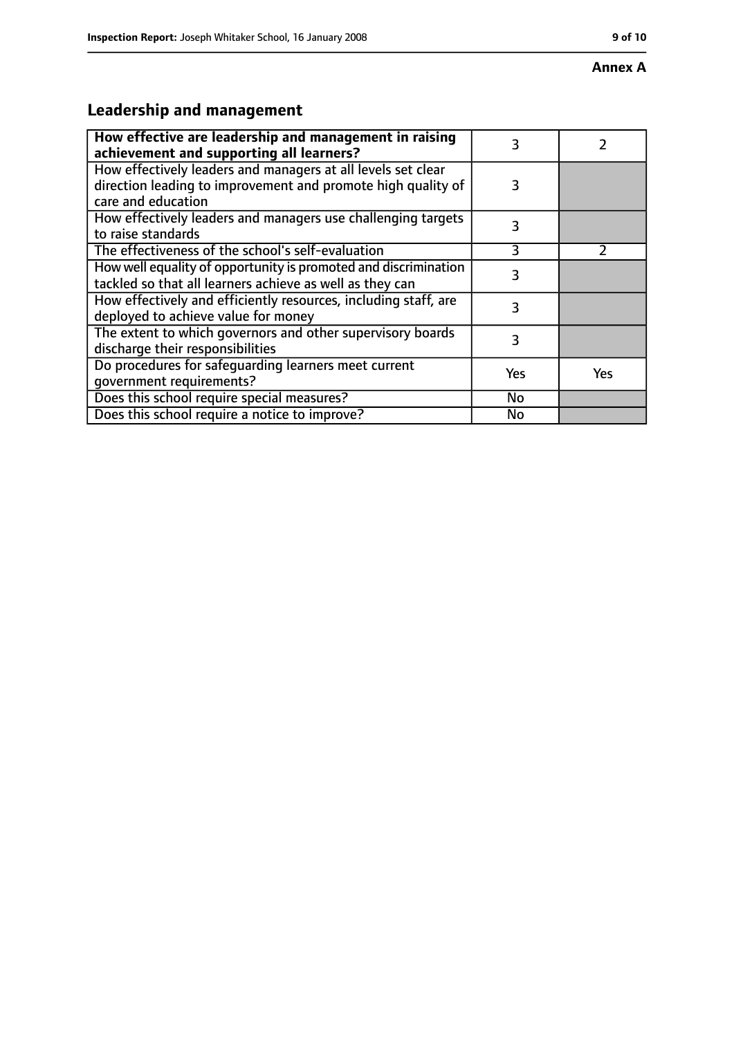#### **Annex A**

# **Leadership and management**

| How effective are leadership and management in raising<br>achievement and supporting all learners?                                                 | 3   |               |
|----------------------------------------------------------------------------------------------------------------------------------------------------|-----|---------------|
| How effectively leaders and managers at all levels set clear<br>direction leading to improvement and promote high quality of<br>care and education | 3   |               |
| How effectively leaders and managers use challenging targets<br>to raise standards                                                                 | 3   |               |
| The effectiveness of the school's self-evaluation                                                                                                  | 3   | $\mathcal{P}$ |
| How well equality of opportunity is promoted and discrimination<br>tackled so that all learners achieve as well as they can                        | 3   |               |
| How effectively and efficiently resources, including staff, are<br>deployed to achieve value for money                                             | 3   |               |
| The extent to which governors and other supervisory boards<br>discharge their responsibilities                                                     | 3   |               |
| Do procedures for safequarding learners meet current<br>qovernment requirements?                                                                   | Yes | <b>Yes</b>    |
| Does this school require special measures?                                                                                                         | No  |               |
| Does this school require a notice to improve?                                                                                                      | No  |               |